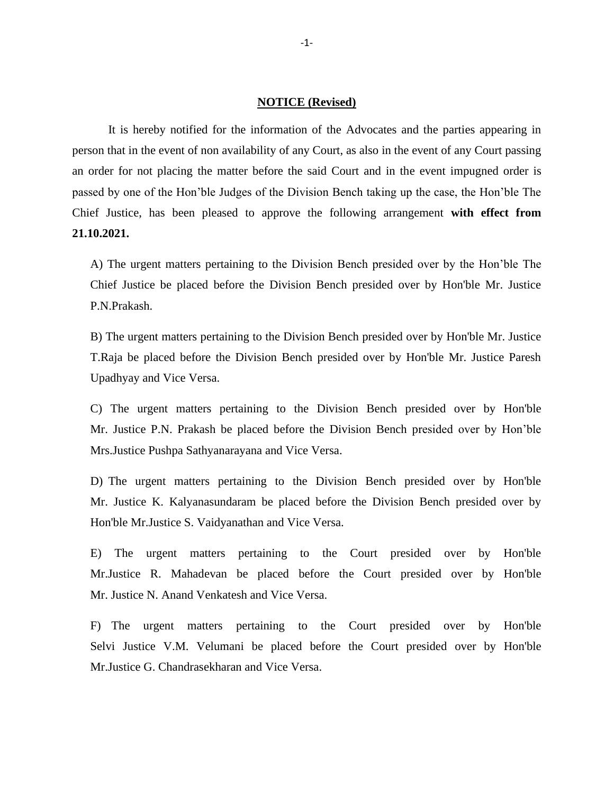## **NOTICE (Revised)**

It is hereby notified for the information of the Advocates and the parties appearing in person that in the event of non availability of any Court, as also in the event of any Court passing an order for not placing the matter before the said Court and in the event impugned order is passed by one of the Hon'ble Judges of the Division Bench taking up the case, the Hon'ble The Chief Justice, has been pleased to approve the following arrangement **with effect from 21.10.2021.**

A) The urgent matters pertaining to the Division Bench presided over by the Hon'ble The Chief Justice be placed before the Division Bench presided over by Hon'ble Mr. Justice P.N.Prakash.

B) The urgent matters pertaining to the Division Bench presided over by Hon'ble Mr. Justice T.Raja be placed before the Division Bench presided over by Hon'ble Mr. Justice Paresh Upadhyay and Vice Versa.

C) The urgent matters pertaining to the Division Bench presided over by Hon'ble Mr. Justice P.N. Prakash be placed before the Division Bench presided over by Hon'ble Mrs.Justice Pushpa Sathyanarayana and Vice Versa.

D) The urgent matters pertaining to the Division Bench presided over by Hon'ble Mr. Justice K. Kalyanasundaram be placed before the Division Bench presided over by Hon'ble Mr.Justice S. Vaidyanathan and Vice Versa.

E) The urgent matters pertaining to the Court presided over by Hon'ble Mr.Justice R. Mahadevan be placed before the Court presided over by Hon'ble Mr. Justice N. Anand Venkatesh and Vice Versa.

F) The urgent matters pertaining to the Court presided over by Hon'ble Selvi Justice V.M. Velumani be placed before the Court presided over by Hon'ble Mr.Justice G. Chandrasekharan and Vice Versa.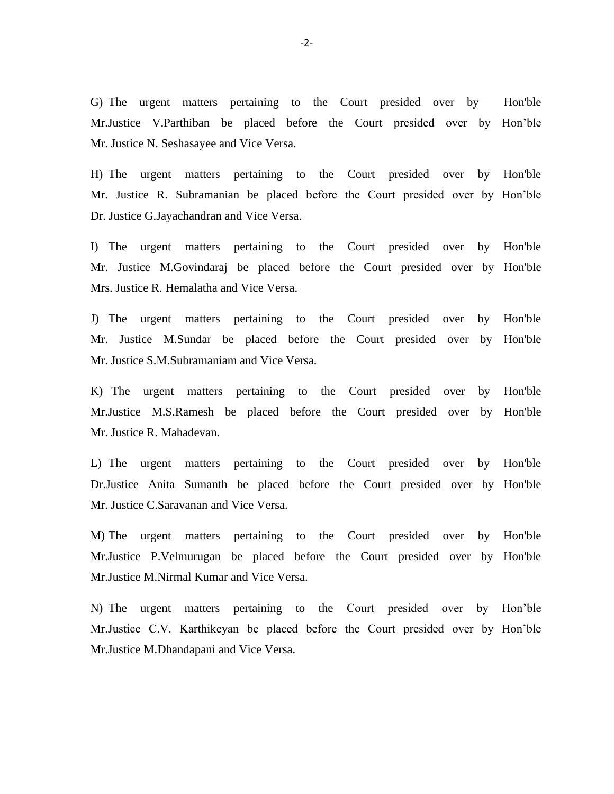G) The urgent matters pertaining to the Court presided over by Hon'ble Mr.Justice V.Parthiban be placed before the Court presided over by Hon'ble Mr. Justice N. Seshasayee and Vice Versa.

H) The urgent matters pertaining to the Court presided over by Hon'ble Mr. Justice R. Subramanian be placed before the Court presided over by Hon'ble Dr. Justice G.Jayachandran and Vice Versa.

I) The urgent matters pertaining to the Court presided over by Hon'ble Mr. Justice M.Govindaraj be placed before the Court presided over by Hon'ble Mrs. Justice R. Hemalatha and Vice Versa.

J) The urgent matters pertaining to the Court presided over by Hon'ble Mr. Justice M.Sundar be placed before the Court presided over by Hon'ble Mr. Justice S.M.Subramaniam and Vice Versa.

K) The urgent matters pertaining to the Court presided over by Hon'ble Mr.Justice M.S.Ramesh be placed before the Court presided over by Hon'ble Mr. Justice R. Mahadevan.

L) The urgent matters pertaining to the Court presided over by Hon'ble Dr.Justice Anita Sumanth be placed before the Court presided over by Hon'ble Mr. Justice C.Saravanan and Vice Versa.

M) The urgent matters pertaining to the Court presided over by Hon'ble Mr.Justice P.Velmurugan be placed before the Court presided over by Hon'ble Mr.Justice M.Nirmal Kumar and Vice Versa.

N) The urgent matters pertaining to the Court presided over by Hon'ble Mr.Justice C.V. Karthikeyan be placed before the Court presided over by Hon'ble Mr.Justice M.Dhandapani and Vice Versa.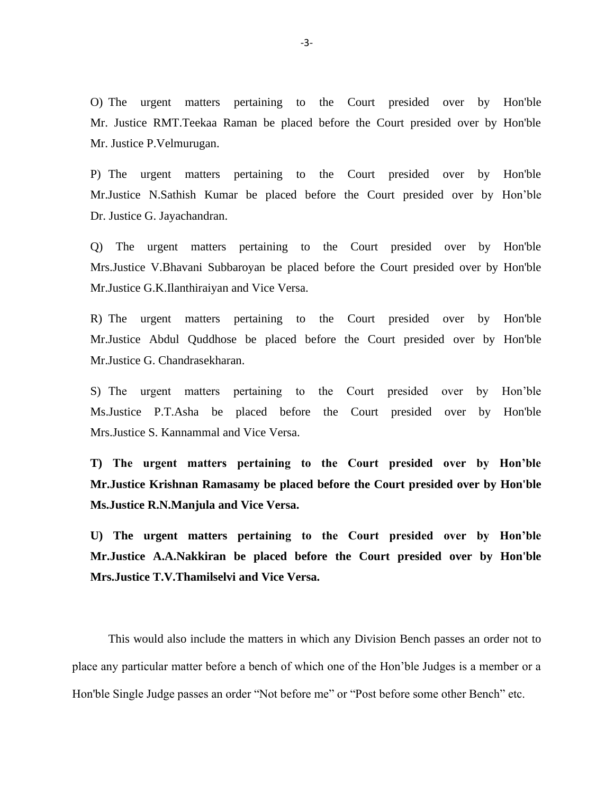O) The urgent matters pertaining to the Court presided over by Hon'ble Mr. Justice RMT.Teekaa Raman be placed before the Court presided over by Hon'ble Mr. Justice P.Velmurugan.

P) The urgent matters pertaining to the Court presided over by Hon'ble Mr.Justice N.Sathish Kumar be placed before the Court presided over by Hon'ble Dr. Justice G. Jayachandran.

Q) The urgent matters pertaining to the Court presided over by Hon'ble Mrs.Justice V.Bhavani Subbaroyan be placed before the Court presided over by Hon'ble Mr.Justice G.K.Ilanthiraiyan and Vice Versa.

R) The urgent matters pertaining to the Court presided over by Hon'ble Mr.Justice Abdul Quddhose be placed before the Court presided over by Hon'ble Mr.Justice G. Chandrasekharan.

S) The urgent matters pertaining to the Court presided over by Hon'ble Ms.Justice P.T.Asha be placed before the Court presided over by Hon'ble Mrs.Justice S. Kannammal and Vice Versa.

**T) The urgent matters pertaining to the Court presided over by Hon'ble Mr.Justice Krishnan Ramasamy be placed before the Court presided over by Hon'ble Ms.Justice R.N.Manjula and Vice Versa.** 

**U) The urgent matters pertaining to the Court presided over by Hon'ble Mr.Justice A.A.Nakkiran be placed before the Court presided over by Hon'ble Mrs.Justice T.V.Thamilselvi and Vice Versa.** 

This would also include the matters in which any Division Bench passes an order not to place any particular matter before a bench of which one of the Hon'ble Judges is a member or a Hon'ble Single Judge passes an order "Not before me" or "Post before some other Bench" etc.